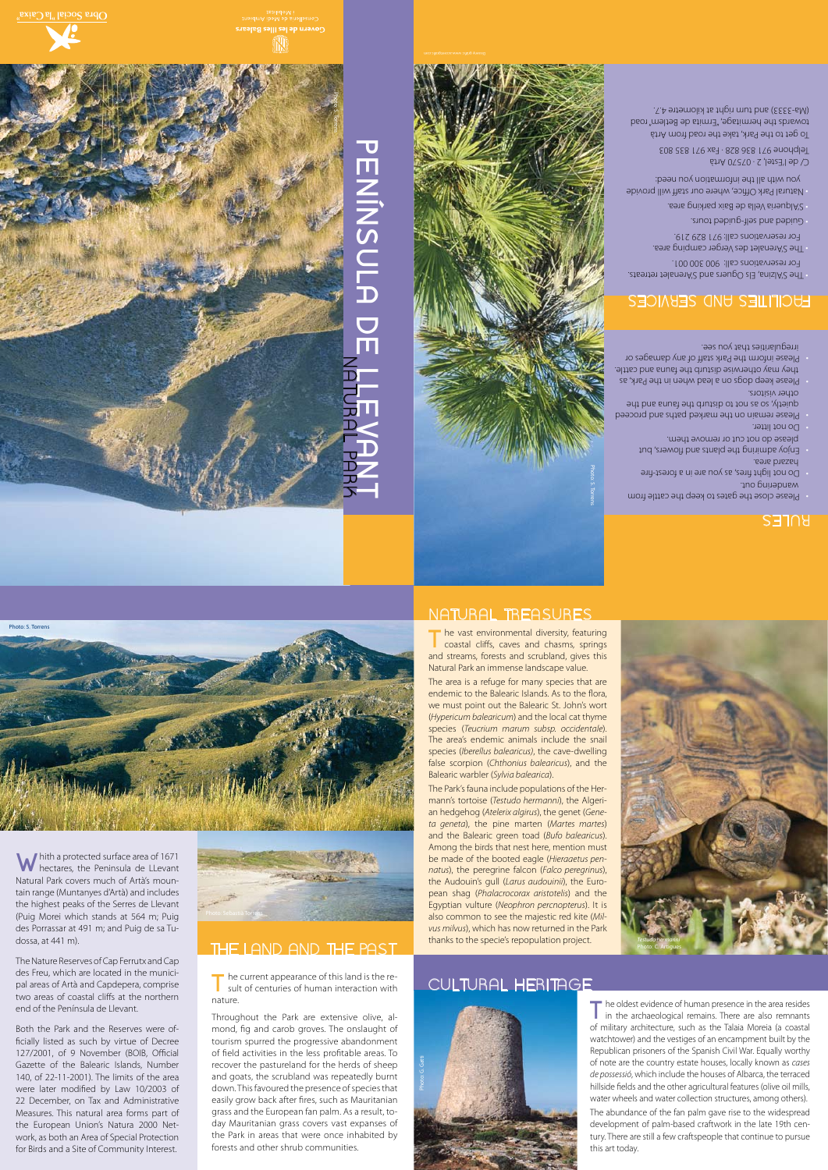W hith a protected surface area of 1671<br>W hectares, the Peninsula de LLevant Natural Park covers much of Artà's moun-

Photo: S. Torre

tain range (Muntanyes d'Artà) and includes the highest peaks of the Serres de Llevant (Puig Morei which stands at 564 m; Puig des Porrassar at 491 m; and Puig de sa Tudossa, at 441 m).

The Nature Reserves of Cap Ferrutx and Cap des Freu, which are located in the municipal areas of Artà and Capdepera, comprise two areas of coastal cliffs at the northern end of the Península de Llevant.

T he vast environmental diversity, featuring<br>
coastal cliffs, caves and chasms, springs and streams, forests and scrubland, gives this Natural Park an immense landscape value.

Both the Park and the Reserves were officially listed as such by virtue of Decree 127/2001, of 9 November (BOIB, Official Gazette of the Balearic Islands, Number 140, of 22-11-2001). The limits of the area were later modified by Law 10/2003 of 22 December, on Tax and Administrative Measures. This natural area forms part of the European Union's Natura 2000 Network, as both an Area of Special Protection for Birds and a Site of Community Interest.



T<sub>T</sub> he current appearance of this land is the result of centuries of human interaction with nature.

The area is a refuge for many species that are endemic to the Balearic Islands. As to the flora, we must point out the Balearic St. John's wort (*Hypericum balearicum*) and the local cat thyme species (*Teucrium marum subsp. occidentale*). The area's endemic animals include the snail species (*Iberellus balearicus)*, the cave-dwelling false scorpion (*Chthonius balearicus*), and the Balearic warbler (*Sylvia balearica*).

> The oldest evidence of human presence in the area resides in the archaeological remains. There are also remnants of military architecture, such as the Talaia Moreia (a coastal watchtower) and the vestiges of an encampment built by the Republican prisoners of the Spanish Civil War. Equally worthy of note are the country estate houses, locally known as *cases de possessió*, which include the houses of Albarca, the terraced hillside fields and the other agricultural features (olive oil mills, water wheels and water collection structures, among others).

The Park's fauna include populations of the Hermann's tortoise (*Testudo hermanni*), the Algerian hedgehog (*Atelerix algirus*), the genet (*Geneta geneta*), the pine marten (*Martes martes*) and the Balearic green toad (*Bufo balearicus*). Among the birds that nest here, mention must be made of the booted eagle (*Hieraaetus pennatus*), the peregrine falcon (*Falco peregrinus*), the Audouin's gull (*Larus audouinii*), the European shag (*Phalacrocorax aristotelis*) and the Egyptian vulture (*Neophron percnopterus*). It is also common to see the majestic red kite (*Milvus milvus*), which has now returned in the Park thanks to the specie's repopulation project.

- Please close the gates to keep the cattle from wandering out.
- Do not light fires, as you are in a forest-fire hazard area.
- Enjoy admiring the plants and flowers, but please do not cut or remove them. Do not litter.
- Please remain on the marked paths and proceed quietly, so as not to disturb the fauna and the other visitors.
- Please keep dogs on a lead when in the Park, as they may otherwise disturb the fauna and cattle.
- Please inform the Park staff of any damages or irregularities that you see.

# **BIGITILES UND SEBAICES**

Throughout the Park are extensive olive, almond, fig and carob groves. The onslaught of tourism spurred the progressive abandonment of field activities in the less profitable areas. To recover the pastureland for the herds of sheep and goats, the scrubland was repeatedly burnt down. This favoured the presence of species that easily grow back after fires, such as Mauritanian grass and the European fan palm. As a result, today Mauritanian grass covers vast expanses of the Park in areas that were once inhabited by forests and other shrub communities.

## CULTURAL HERITAGE

## THE LAND AND THE PAST

The abundance of the fan palm gave rise to the widespread development of palm-based craftwork in the late 19th century. There are still a few craftspeople that continue to pursue this art today.





# RULES



- The S'Alzina, Els Oguers and S'Arenalet retreats. For reservations call: 900 300 001.
- The S'Arenalet des Verger camping area. For reservations call: 971 829 219.
- Guided and self-guide tours.
- S'Alqueria Vella de Baix parking area. •
- Natural Park Office, where our staff will provide you with all the information you need:

C/ de l'Estel, 2 · 07570 Artà Telphone 971 836 828 · Fax 971 835 803

To get to the Park, take the road from Artà towards the hermitage, "Ermita de Betlem" road (Ma-3333) and turn right at kilometre 4.7.

# **PENÍNSULA DE LLEVANT PENINSULADE**

Photo: S. Torrens

íN